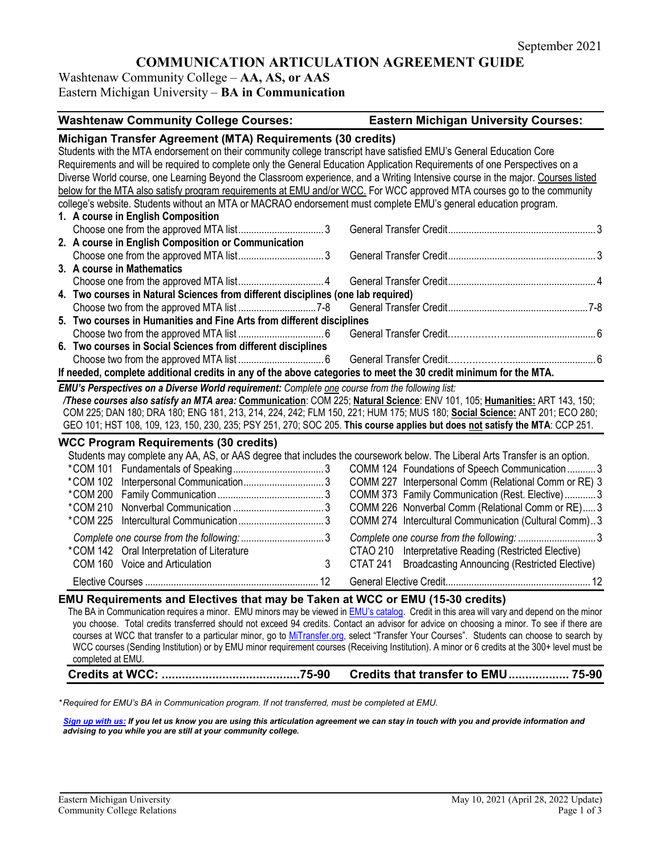# **COMMUNICATION ARTICULATION AGREEMENT GUIDE**

Washtenaw Community College – **AA, AS, or AAS** Eastern Michigan University – **BA in Communication**

| <b>Washtenaw Community College Courses:</b>                                                                                                                                                                                                                                                                                                                                                                                                                                                                                                                                                                                                                                       | <b>Eastern Michigan University Courses:</b>                                                                                                                                                                                                                                                                                                                                                                                                                                                                                             |  |
|-----------------------------------------------------------------------------------------------------------------------------------------------------------------------------------------------------------------------------------------------------------------------------------------------------------------------------------------------------------------------------------------------------------------------------------------------------------------------------------------------------------------------------------------------------------------------------------------------------------------------------------------------------------------------------------|-----------------------------------------------------------------------------------------------------------------------------------------------------------------------------------------------------------------------------------------------------------------------------------------------------------------------------------------------------------------------------------------------------------------------------------------------------------------------------------------------------------------------------------------|--|
| Michigan Transfer Agreement (MTA) Requirements (30 credits)<br>Students with the MTA endorsement on their community college transcript have satisfied EMU's General Education Core<br>Requirements and will be required to complete only the General Education Application Requirements of one Perspectives on a<br>below for the MTA also satisfy program requirements at EMU and/or WCC. For WCC approved MTA courses go to the community<br>college's website. Students without an MTA or MACRAO endorsement must complete EMU's general education program.                                                                                                                    | Diverse World course, one Learning Beyond the Classroom experience, and a Writing Intensive course in the major. Courses listed                                                                                                                                                                                                                                                                                                                                                                                                         |  |
| 1. A course in English Composition                                                                                                                                                                                                                                                                                                                                                                                                                                                                                                                                                                                                                                                |                                                                                                                                                                                                                                                                                                                                                                                                                                                                                                                                         |  |
|                                                                                                                                                                                                                                                                                                                                                                                                                                                                                                                                                                                                                                                                                   |                                                                                                                                                                                                                                                                                                                                                                                                                                                                                                                                         |  |
| 2. A course in English Composition or Communication                                                                                                                                                                                                                                                                                                                                                                                                                                                                                                                                                                                                                               |                                                                                                                                                                                                                                                                                                                                                                                                                                                                                                                                         |  |
|                                                                                                                                                                                                                                                                                                                                                                                                                                                                                                                                                                                                                                                                                   |                                                                                                                                                                                                                                                                                                                                                                                                                                                                                                                                         |  |
| 3. A course in Mathematics                                                                                                                                                                                                                                                                                                                                                                                                                                                                                                                                                                                                                                                        |                                                                                                                                                                                                                                                                                                                                                                                                                                                                                                                                         |  |
|                                                                                                                                                                                                                                                                                                                                                                                                                                                                                                                                                                                                                                                                                   |                                                                                                                                                                                                                                                                                                                                                                                                                                                                                                                                         |  |
| 4. Two courses in Natural Sciences from different disciplines (one lab required)                                                                                                                                                                                                                                                                                                                                                                                                                                                                                                                                                                                                  |                                                                                                                                                                                                                                                                                                                                                                                                                                                                                                                                         |  |
|                                                                                                                                                                                                                                                                                                                                                                                                                                                                                                                                                                                                                                                                                   |                                                                                                                                                                                                                                                                                                                                                                                                                                                                                                                                         |  |
| 5. Two courses in Humanities and Fine Arts from different disciplines                                                                                                                                                                                                                                                                                                                                                                                                                                                                                                                                                                                                             |                                                                                                                                                                                                                                                                                                                                                                                                                                                                                                                                         |  |
|                                                                                                                                                                                                                                                                                                                                                                                                                                                                                                                                                                                                                                                                                   |                                                                                                                                                                                                                                                                                                                                                                                                                                                                                                                                         |  |
| 6. Two courses in Social Sciences from different disciplines                                                                                                                                                                                                                                                                                                                                                                                                                                                                                                                                                                                                                      |                                                                                                                                                                                                                                                                                                                                                                                                                                                                                                                                         |  |
|                                                                                                                                                                                                                                                                                                                                                                                                                                                                                                                                                                                                                                                                                   |                                                                                                                                                                                                                                                                                                                                                                                                                                                                                                                                         |  |
| If needed, complete additional credits in any of the above categories to meet the 30 credit minimum for the MTA.                                                                                                                                                                                                                                                                                                                                                                                                                                                                                                                                                                  |                                                                                                                                                                                                                                                                                                                                                                                                                                                                                                                                         |  |
| EMU's Perspectives on a Diverse World requirement: Complete one course from the following list:                                                                                                                                                                                                                                                                                                                                                                                                                                                                                                                                                                                   | /These courses also satisfy an MTA area: Communication: COM 225; Natural Science: ENV 101, 105; Humanities: ART 143, 150;<br>COM 225; DAN 180; DRA 180; ENG 181, 213, 214, 224, 242; FLM 150, 221; HUM 175; MUS 180; Social Science: ANT 201; ECO 280;<br>GEO 101; HST 108, 109, 123, 150, 230, 235; PSY 251, 270; SOC 205. This course applies but does not satisfy the MTA: CCP 251.                                                                                                                                                  |  |
| <b>WCC Program Requirements (30 credits)</b><br>*COM 142 Oral Interpretation of Literature<br>COM 160 Voice and Articulation                                                                                                                                                                                                                                                                                                                                                                                                                                                                                                                                                      | Students may complete any AA, AS, or AAS degree that includes the coursework below. The Liberal Arts Transfer is an option.<br>COMM 124 Foundations of Speech Communication3<br>COMM 227 Interpersonal Comm (Relational Comm or RE) 3<br>COMM 373 Family Communication (Rest. Elective)3<br>COMM 226 Nonverbal Comm (Relational Comm or RE)3<br>COMM 274 Intercultural Communication (Cultural Comm)3<br>CTAO 210 Interpretative Reading (Restricted Elective)<br>3<br>CTAT 241<br><b>Broadcasting Announcing (Restricted Elective)</b> |  |
|                                                                                                                                                                                                                                                                                                                                                                                                                                                                                                                                                                                                                                                                                   |                                                                                                                                                                                                                                                                                                                                                                                                                                                                                                                                         |  |
| EMU Requirements and Electives that may be Taken at WCC or EMU (15-30 credits)<br>The BA in Communication requires a minor. EMU minors may be viewed in <b>EMU's catalog</b> . Credit in this area will vary and depend on the minor<br>you choose. Total credits transferred should not exceed 94 credits. Contact an advisor for advice on choosing a minor. To see if there are<br>courses at WCC that transfer to a particular minor, go to MiTransfer.org, select "Transfer Your Courses". Students can choose to search by<br>WCC courses (Sending Institution) or by EMU minor requirement courses (Receiving Institution). A minor or 6 credits at the 300+ level must be |                                                                                                                                                                                                                                                                                                                                                                                                                                                                                                                                         |  |

**Credits at WCC: .........................................75-90 Credits that transfer to EMU.................. 75-90**

*\* Required for EMU's BA in Communication program. If not transferred, must be completed at EMU.* 

*[Sign up with us:](https://www.emich.edu/ccr/articulation-agreements/signup.php) If you let us know you are using this articulation agreement we can stay in touch with you and provide information and advising to you while you are still at your community college.*

completed at EMU.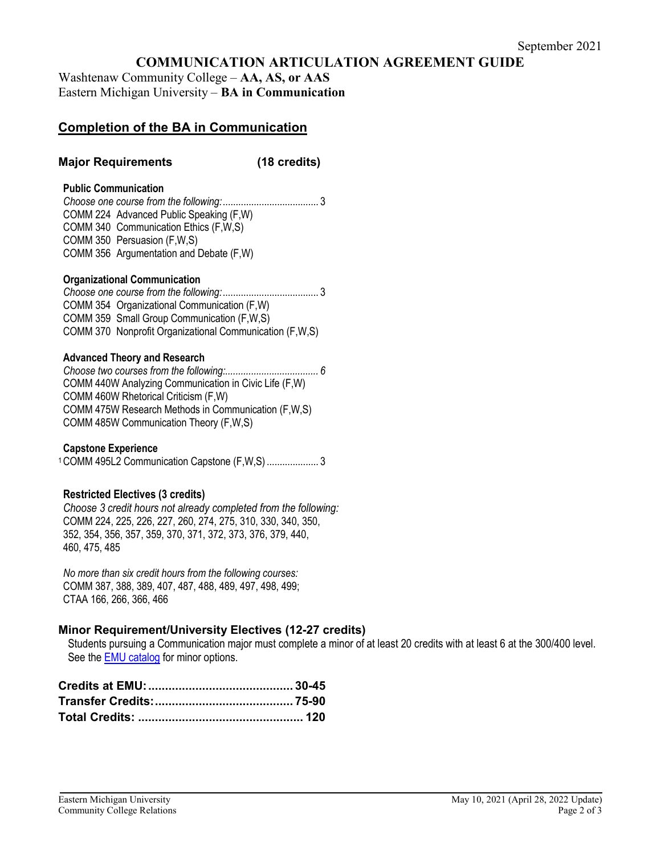# **COMMUNICATION ARTICULATION AGREEMENT GUIDE**

Washtenaw Community College – **AA, AS, or AAS** Eastern Michigan University – **BA in Communication**

# **Completion of the BA in Communication**

## **Major Requirements (18 credits)**

#### **Public Communication**

*Choose one course from the following:*..................................... 3 COMM 224 Advanced Public Speaking (F,W) COMM 340 Communication Ethics (F,W,S) COMM 350 Persuasion (F,W,S) COMM 356 Argumentation and Debate (F,W)

#### **Organizational Communication**

*Choose one course from the following:*..................................... 3 COMM 354 Organizational Communication (F,W) COMM 359 Small Group Communication (F,W,S) COMM 370 Nonprofit Organizational Communication (F,W,S)

#### **Advanced Theory and Research**

*Choose two courses from the following:.................................... 6*  COMM 440W Analyzing Communication in Civic Life (F,W) COMM 460W Rhetorical Criticism (F,W) COMM 475W Research Methods in Communication (F,W,S) COMM 485W Communication Theory (F,W,S)

#### **Capstone Experience**

1COMM 495L2 Communication Capstone (F,W,S) .................... 3

## **Restricted Electives (3 credits)**

*Choose 3 credit hours not already completed from the following:* COMM 224, 225, 226, 227, 260, 274, 275, 310, 330, 340, 350, 352, 354, 356, 357, 359, 370, 371, 372, 373, 376, 379, 440, 460, 475, 485

*No more than six credit hours from the following courses:* COMM 387, 388, 389, 407, 487, 488, 489, 497, 498, 499; CTAA 166, 266, 366, 466

## **Minor Requirement/University Electives (12-27 credits)**

Students pursuing a Communication major must complete a minor of at least 20 credits with at least 6 at the 300/400 level. See the EMU catalog for minor options.